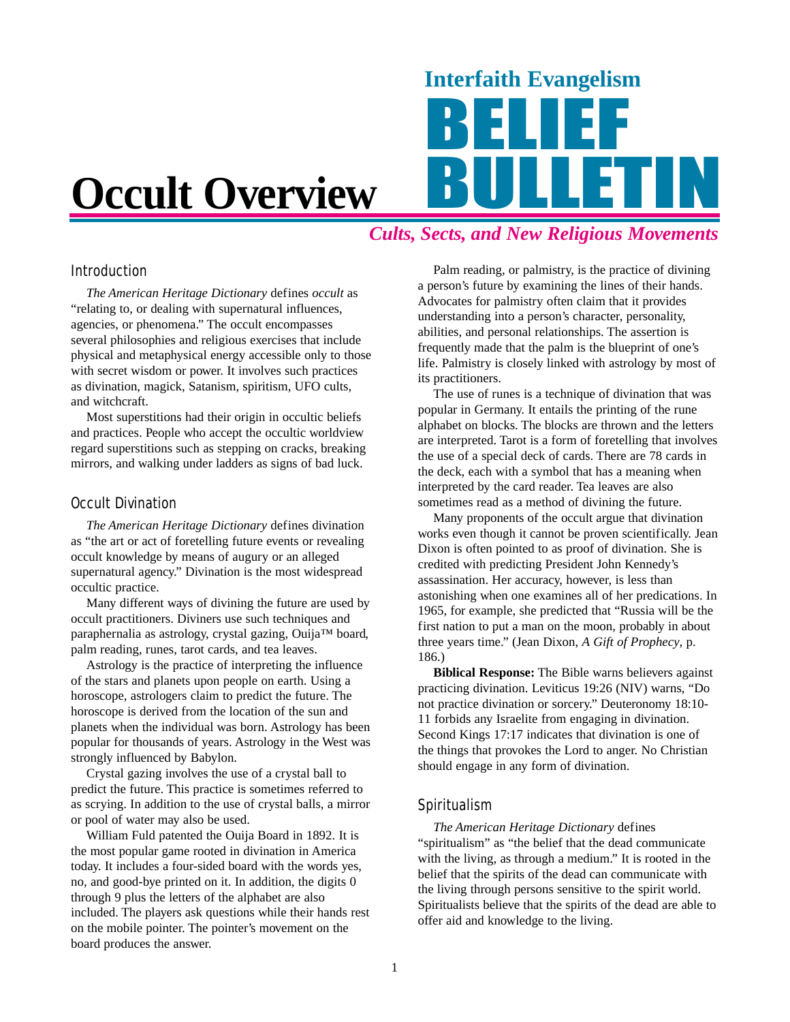# **Occult Overview**

## *Cults, Sects, and New Religious Movements*

Interfaith Evangelism

#### Introduction

*The American Heritage Dictionary* defines *occult* as "relating to, or dealing with supernatural influences, agencies, or phenomena." The occult encompasses several philosophies and religious exercises that include physical and metaphysical energy accessible only to those with secret wisdom or power. It involves such practices as divination, magick, Satanism, spiritism, UFO cults, and witchcraft.

Most superstitions had their origin in occultic beliefs and practices. People who accept the occultic worldview regard superstitions such as stepping on cracks, breaking mirrors, and walking under ladders as signs of bad luck.

#### Occult Divination

*The American Heritage Dictionary* defines divination as "the art or act of foretelling future events or revealing occult knowledge by means of augury or an alleged supernatural agency." Divination is the most widespread occultic practice.

Many different ways of divining the future are used by occult practitioners. Diviners use such techniques and paraphernalia as astrology, crystal gazing, Ouija™ board, palm reading, runes, tarot cards, and tea leaves.

Astrology is the practice of interpreting the influence of the stars and planets upon people on earth. Using a horoscope, astrologers claim to predict the future. The horoscope is derived from the location of the sun and planets when the individual was born. Astrology has been popular for thousands of years. Astrology in the West was strongly influenced by Babylon.

Crystal gazing involves the use of a crystal ball to predict the future. This practice is sometimes referred to as scrying. In addition to the use of crystal balls, a mirror or pool of water may also be used.

William Fuld patented the Ouija Board in 1892. It is the most popular game rooted in divination in America today. It includes a four-sided board with the words yes, no, and good-bye printed on it. In addition, the digits 0 through 9 plus the letters of the alphabet are also included. The players ask questions while their hands rest on the mobile pointer. The pointer's movement on the board produces the answer.

Palm reading, or palmistry, is the practice of divining a person's future by examining the lines of their hands. Advocates for palmistry often claim that it provides understanding into a person's character, personality, abilities, and personal relationships. The assertion is frequently made that the palm is the blueprint of one's life. Palmistry is closely linked with astrology by most of its practitioners.

The use of runes is a technique of divination that was popular in Germany. It entails the printing of the rune alphabet on blocks. The blocks are thrown and the letters are interpreted. Tarot is a form of foretelling that involves the use of a special deck of cards. There are 78 cards in the deck, each with a symbol that has a meaning when interpreted by the card reader. Tea leaves are also sometimes read as a method of divining the future.

Many proponents of the occult argue that divination works even though it cannot be proven scientifically. Jean Dixon is often pointed to as proof of divination. She is credited with predicting President John Kennedy's assassination. Her accuracy, however, is less than astonishing when one examines all of her predications. In 1965, for example, she predicted that "Russia will be the first nation to put a man on the moon, probably in about three years time." (Jean Dixon, *A Gift of Prophecy*, p. 186.)

**Biblical Response:** The Bible warns believers against practicing divination. Leviticus 19:26 (NIV) warns, "Do not practice divination or sorcery." Deuteronomy 18:10- 11 forbids any Israelite from engaging in divination. Second Kings 17:17 indicates that divination is one of the things that provokes the Lord to anger. No Christian should engage in any form of divination.

#### Spiritualism

*The American Heritage Dictionary* defines "spiritualism" as "the belief that the dead communicate with the living, as through a medium." It is rooted in the belief that the spirits of the dead can communicate with the living through persons sensitive to the spirit world. Spiritualists believe that the spirits of the dead are able to offer aid and knowledge to the living.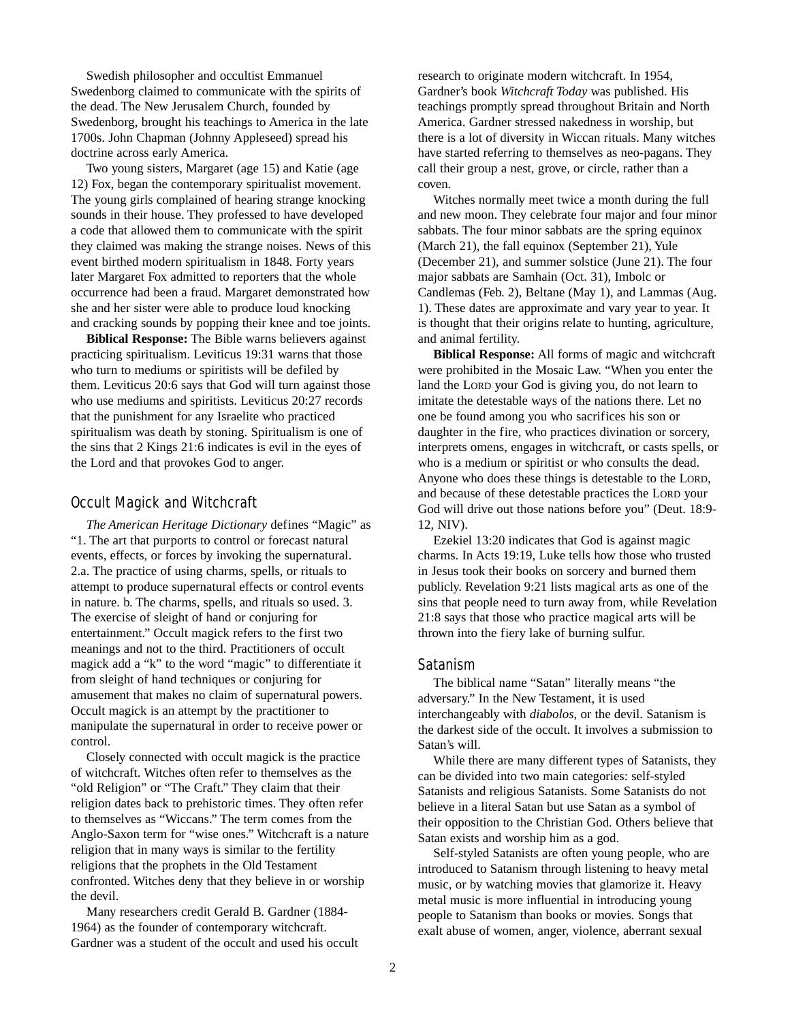Swedish philosopher and occultist Emmanuel Swedenborg claimed to communicate with the spirits of the dead. The New Jerusalem Church, founded by Swedenborg, brought his teachings to America in the late 1700s. John Chapman (Johnny Appleseed) spread his doctrine across early America.

Two young sisters, Margaret (age 15) and Katie (age 12) Fox, began the contemporary spiritualist movement. The young girls complained of hearing strange knocking sounds in their house. They professed to have developed a code that allowed them to communicate with the spirit they claimed was making the strange noises. News of this event birthed modern spiritualism in 1848. Forty years later Margaret Fox admitted to reporters that the whole occurrence had been a fraud. Margaret demonstrated how she and her sister were able to produce loud knocking and cracking sounds by popping their knee and toe joints.

**Biblical Response:** The Bible warns believers against practicing spiritualism. Leviticus 19:31 warns that those who turn to mediums or spiritists will be defiled by them. Leviticus 20:6 says that God will turn against those who use mediums and spiritists. Leviticus 20:27 records that the punishment for any Israelite who practiced spiritualism was death by stoning. Spiritualism is one of the sins that 2 Kings 21:6 indicates is evil in the eyes of the Lord and that provokes God to anger.

#### Occult Magick and Witchcraft

*The American Heritage Dictionary* defines "Magic" as "1. The art that purports to control or forecast natural events, effects, or forces by invoking the supernatural. 2.a. The practice of using charms, spells, or rituals to attempt to produce supernatural effects or control events in nature. b. The charms, spells, and rituals so used. 3. The exercise of sleight of hand or conjuring for entertainment." Occult magick refers to the first two meanings and not to the third. Practitioners of occult magick add a "k" to the word "magic" to differentiate it from sleight of hand techniques or conjuring for amusement that makes no claim of supernatural powers. Occult magick is an attempt by the practitioner to manipulate the supernatural in order to receive power or control.

Closely connected with occult magick is the practice of witchcraft. Witches often refer to themselves as the "old Religion" or "The Craft." They claim that their religion dates back to prehistoric times. They often refer to themselves as "Wiccans." The term comes from the Anglo-Saxon term for "wise ones." Witchcraft is a nature religion that in many ways is similar to the fertility religions that the prophets in the Old Testament confronted. Witches deny that they believe in or worship the devil.

Many researchers credit Gerald B. Gardner (1884- 1964) as the founder of contemporary witchcraft. Gardner was a student of the occult and used his occult research to originate modern witchcraft. In 1954, Gardner's book *Witchcraft Today* was published. His teachings promptly spread throughout Britain and North America. Gardner stressed nakedness in worship, but there is a lot of diversity in Wiccan rituals. Many witches have started referring to themselves as neo-pagans. They call their group a nest, grove, or circle, rather than a coven.

Witches normally meet twice a month during the full and new moon. They celebrate four major and four minor sabbats. The four minor sabbats are the spring equinox (March 21), the fall equinox (September 21), Yule (December 21), and summer solstice (June 21). The four major sabbats are Samhain (Oct. 31), Imbolc or Candlemas (Feb. 2), Beltane (May 1), and Lammas (Aug. 1). These dates are approximate and vary year to year. It is thought that their origins relate to hunting, agriculture, and animal fertility.

**Biblical Response:** All forms of magic and witchcraft were prohibited in the Mosaic Law. "When you enter the land the LORD your God is giving you, do not learn to imitate the detestable ways of the nations there. Let no one be found among you who sacrifices his son or daughter in the fire, who practices divination or sorcery, interprets omens, engages in witchcraft, or casts spells, or who is a medium or spiritist or who consults the dead. Anyone who does these things is detestable to the LORD, and because of these detestable practices the LORD your God will drive out those nations before you" (Deut. 18:9- 12, NIV).

Ezekiel 13:20 indicates that God is against magic charms. In Acts 19:19, Luke tells how those who trusted in Jesus took their books on sorcery and burned them publicly. Revelation 9:21 lists magical arts as one of the sins that people need to turn away from, while Revelation 21:8 says that those who practice magical arts will be thrown into the fiery lake of burning sulfur.

#### Satanism

The biblical name "Satan" literally means "the adversary." In the New Testament, it is used interchangeably with *diabolos*, or the devil. Satanism is the darkest side of the occult. It involves a submission to Satan's will.

While there are many different types of Satanists, they can be divided into two main categories: self-styled Satanists and religious Satanists. Some Satanists do not believe in a literal Satan but use Satan as a symbol of their opposition to the Christian God. Others believe that Satan exists and worship him as a god.

Self-styled Satanists are often young people, who are introduced to Satanism through listening to heavy metal music, or by watching movies that glamorize it. Heavy metal music is more influential in introducing young people to Satanism than books or movies. Songs that exalt abuse of women, anger, violence, aberrant sexual